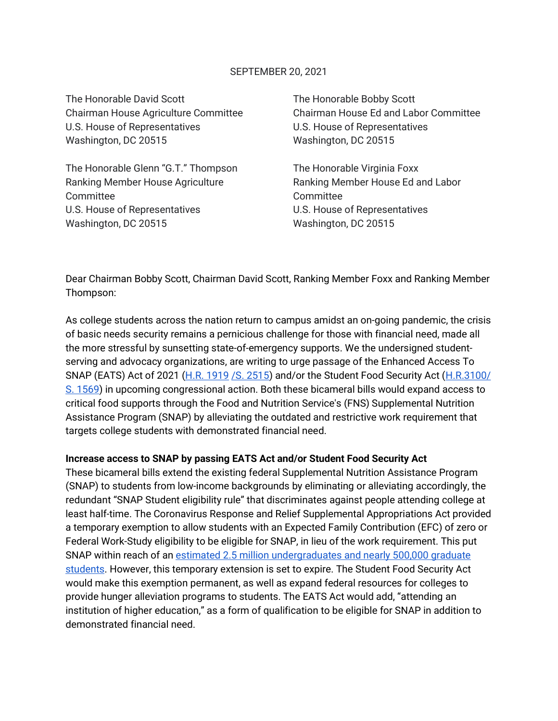## SEPTEMBER 20, 2021

The Honorable David Scott Chairman House Agriculture Committee U.S. House of Representatives Washington, DC 20515

The Honorable Glenn "G.T." Thompson Ranking Member House Agriculture Committee U.S. House of Representatives Washington, DC 20515

The Honorable Bobby Scott Chairman House Ed and Labor Committee U.S. House of Representatives Washington, DC 20515

The Honorable Virginia Foxx Ranking Member House Ed and Labor Committee U.S. House of Representatives Washington, DC 20515

Dear Chairman Bobby Scott, Chairman David Scott, Ranking Member Foxx and Ranking Member Thompson:

As college students across the nation return to campus amidst an on-going pandemic, the crisis of basic needs security remains a pernicious challenge for those with financial need, made all the more stressful by sunsetting state-of-emergency supports. We the undersigned studentserving and advocacy organizations, are writing to urge passage of the Enhanced Access To SNAP (EATS) Act of 2021 (H.R. 1919 / S. 2515) and/or the Student Food Security Act (H.R. 3100/ S. 1569) in upcoming congressional action. Both these bicameral bills would expand access to critical food supports through the Food and Nutrition Service's (FNS) Supplemental Nutrition Assistance Program (SNAP) by alleviating the outdated and restrictive work requirement that targets college students with demonstrated financial need.

### Increase access to SNAP by passing EATS Act and/or Student Food Security Act

These bicameral bills extend the existing federal Supplemental Nutrition Assistance Program (SNAP) to students from low-income backgrounds by eliminating or alleviating accordingly, the redundant "SNAP Student eligibility rule" that discriminates against people attending college at least half-time. The Coronavirus Response and Relief Supplemental Appropriations Act provided a temporary exemption to allow students with an Expected Family Contribution (EFC) of zero or Federal Work-Study eligibility to be eligible for SNAP, in lieu of the work requirement. This put SNAP within reach of an estimated 2.5 million undergraduates and nearly 500,000 graduate students. However, this temporary extension is set to expire. The Student Food Security Act would make this exemption permanent, as well as expand federal resources for colleges to provide hunger alleviation programs to students. The EATS Act would add, "attending an institution of higher education," as a form of qualification to be eligible for SNAP in addition to demonstrated financial need.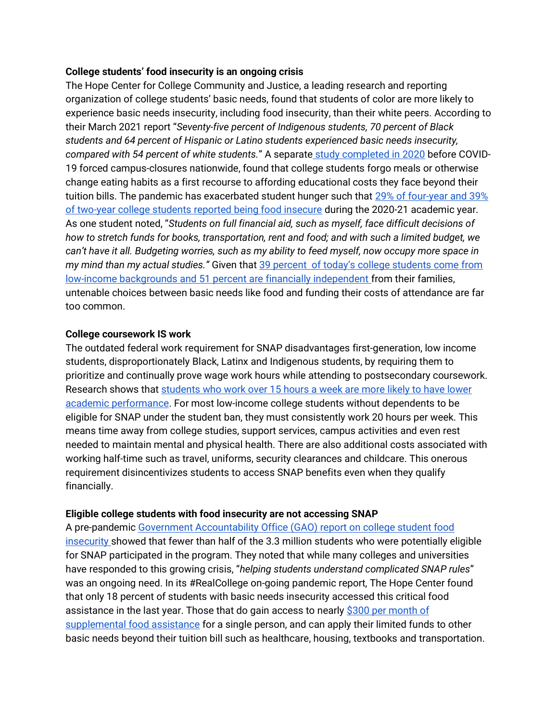## College students' food insecurity is an ongoing crisis

The Hope Center for College Community and Justice, a leading research and reporting organization of college students' basic needs, found that students of color are more likely to experience basic needs insecurity, including food insecurity, than their white peers. According to their March 2021 report "Seventy-five percent of Indigenous students, 70 percent of Black students and 64 percent of Hispanic or Latino students experienced basic needs insecurity, compared with 54 percent of white students." A separate study completed in 2020 before COVID-19 forced campus-closures nationwide, found that college students forgo meals or otherwise change eating habits as a first recourse to affording educational costs they face beyond their tuition bills. The pandemic has exacerbated student hunger such that 29% of four-year and 39% of two-year college students reported being food insecure during the 2020-21 academic year. As one student noted, "Students on full financial aid, such as myself, face difficult decisions of how to stretch funds for books, transportation, rent and food; and with such a limited budget, we can't have it all. Budgeting worries, such as my ability to feed myself, now occupy more space in my mind than my actual studies." Given that 39 percent of today's college students come from low-income backgrounds and 51 percent are financially independent from their families, untenable choices between basic needs like food and funding their costs of attendance are far too common.

## College coursework IS work

The outdated federal work requirement for SNAP disadvantages first-generation, low income students, disproportionately Black, Latinx and Indigenous students, by requiring them to prioritize and continually prove wage work hours while attending to postsecondary coursework. Research shows that students who work over 15 hours a week are more likely to have lower academic performance. For most low-income college students without dependents to be eligible for SNAP under the student ban, they must consistently work 20 hours per week. This means time away from college studies, support services, campus activities and even rest needed to maintain mental and physical health. There are also additional costs associated with working half-time such as travel, uniforms, security clearances and childcare. This onerous requirement disincentivizes students to access SNAP benefits even when they qualify financially.

# Eligible college students with food insecurity are not accessing SNAP

A pre-pandemic Government Accountability Office (GAO) report on college student food insecurity showed that fewer than half of the 3.3 million students who were potentially eligible for SNAP participated in the program. They noted that while many colleges and universities have responded to this growing crisis, "helping students understand complicated SNAP rules" was an ongoing need. In its #RealCollege on-going pandemic report, The Hope Center found that only 18 percent of students with basic needs insecurity accessed this critical food assistance in the last year. Those that do gain access to nearly \$300 per month of supplemental food assistance for a single person, and can apply their limited funds to other basic needs beyond their tuition bill such as healthcare, housing, textbooks and transportation.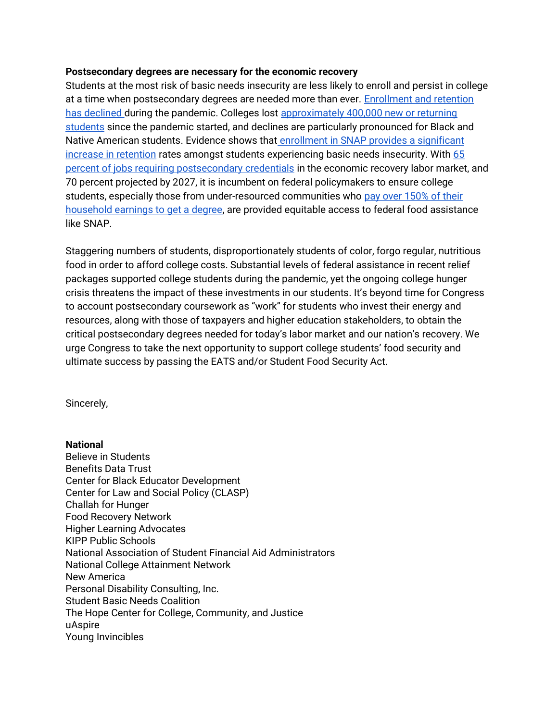## Postsecondary degrees are necessary for the economic recovery

Students at the most risk of basic needs insecurity are less likely to enroll and persist in college at a time when postsecondary degrees are needed more than ever. Enrollment and retention has declined during the pandemic. Colleges lost approximately 400,000 new or returning students since the pandemic started, and declines are particularly pronounced for Black and Native American students. Evidence shows that enrollment in SNAP provides a significant increase in retention rates amongst students experiencing basic needs insecurity. With 65 percent of jobs requiring postsecondary credentials in the economic recovery labor market, and 70 percent projected by 2027, it is incumbent on federal policymakers to ensure college students, especially those from under-resourced communities who pay over 150% of their household earnings to get a degree, are provided equitable access to federal food assistance like SNAP.

Staggering numbers of students, disproportionately students of color, forgo regular, nutritious food in order to afford college costs. Substantial levels of federal assistance in recent relief packages supported college students during the pandemic, yet the ongoing college hunger crisis threatens the impact of these investments in our students. It's beyond time for Congress to account postsecondary coursework as "work" for students who invest their energy and resources, along with those of taxpayers and higher education stakeholders, to obtain the critical postsecondary degrees needed for today's labor market and our nation's recovery. We urge Congress to take the next opportunity to support college students' food security and ultimate success by passing the EATS and/or Student Food Security Act.

Sincerely,

### **National**

Believe in Students Benefits Data Trust Center for Black Educator Development Center for Law and Social Policy (CLASP) Challah for Hunger Food Recovery Network Higher Learning Advocates KIPP Public Schools National Association of Student Financial Aid Administrators National College Attainment Network New America Personal Disability Consulting, Inc. Student Basic Needs Coalition The Hope Center for College, Community, and Justice uAspire Young Invincibles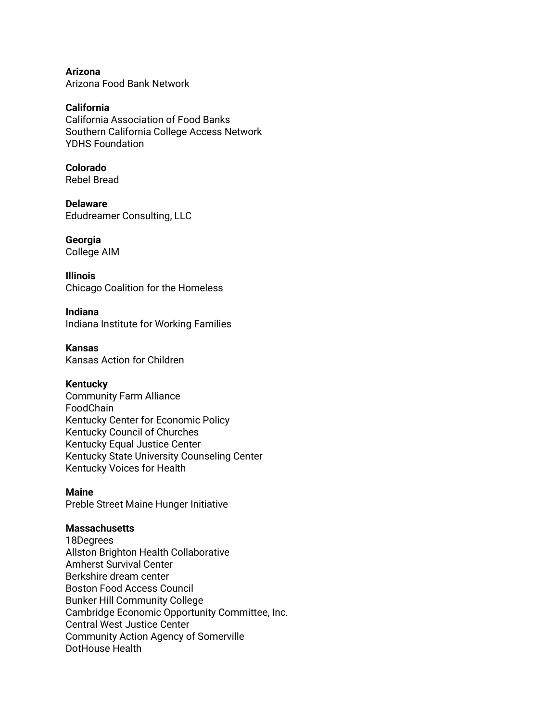Arizona Arizona Food Bank Network

California California Association of Food Banks Southern California College Access Network YDHS Foundation

Colorado Rebel Bread

Delaware Edudreamer Consulting, LLC

Georgia College AIM

Illinois Chicago Coalition for the Homeless

Indiana Indiana Institute for Working Families

Kansas Kansas Action for Children

# Kentucky

Community Farm Alliance FoodChain Kentucky Center for Economic Policy Kentucky Council of Churches Kentucky Equal Justice Center Kentucky State University Counseling Center Kentucky Voices for Health

### Maine

Preble Street Maine Hunger Initiative

# **Massachusetts**

18Degrees Allston Brighton Health Collaborative Amherst Survival Center Berkshire dream center Boston Food Access Council Bunker Hill Community College Cambridge Economic Opportunity Committee, Inc. Central West Justice Center Community Action Agency of Somerville DotHouse Health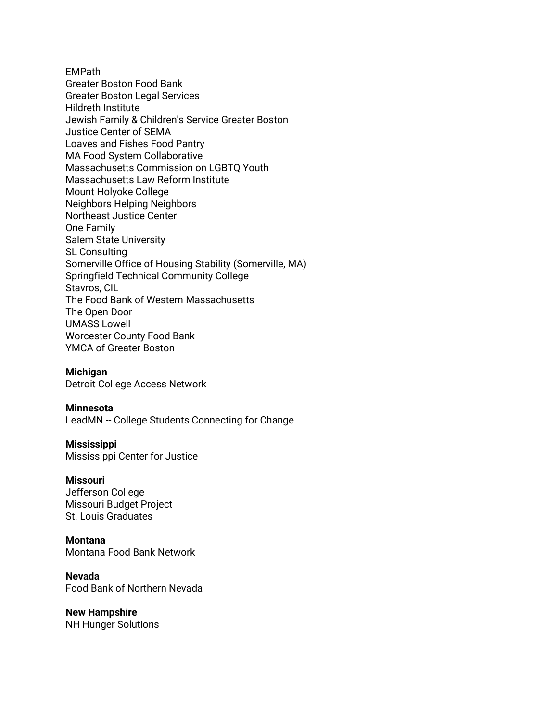EMPath Greater Boston Food Bank Greater Boston Legal Services Hildreth Institute Jewish Family & Children's Service Greater Boston Justice Center of SEMA Loaves and Fishes Food Pantry MA Food System Collaborative Massachusetts Commission on LGBTQ Youth Massachusetts Law Reform Institute Mount Holyoke College Neighbors Helping Neighbors Northeast Justice Center One Family Salem State University SL Consulting Somerville Office of Housing Stability (Somerville, MA) Springfield Technical Community College Stavros, CIL The Food Bank of Western Massachusetts The Open Door UMASS Lowell Worcester County Food Bank YMCA of Greater Boston

### **Michigan**

Detroit College Access Network

#### Minnesota

LeadMN -- College Students Connecting for Change

#### Mississippi

Mississippi Center for Justice

#### Missouri

Jefferson College Missouri Budget Project St. Louis Graduates

#### Montana Montana Food Bank Network

Nevada Food Bank of Northern Nevada

### New Hampshire NH Hunger Solutions